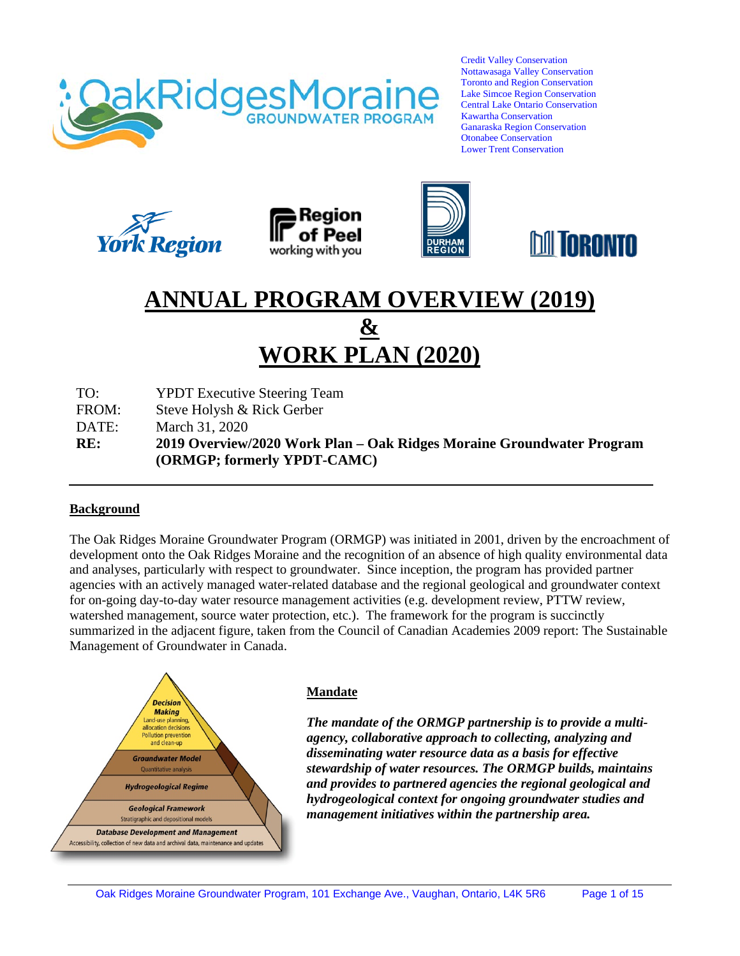

Credit Valley Conservation Nottawasaga Valley Conservation Toronto and Region Conservation Lake Simcoe Region Conservation Central Lake Ontario Conservation Kawartha Conservation Ganaraska Region Conservation Otonabee Conservation Lower Trent Conservation









# **ANNUAL PROGRAM OVERVIEW (2019) & WORK PLAN (2020)**

TO: YPDT Executive Steering Team

FROM: Steve Holysh & Rick Gerber

DATE: March 31, 2020

**RE: 2019 Overview/2020 Work Plan – Oak Ridges Moraine Groundwater Program (ORMGP; formerly YPDT-CAMC)**

#### **Background**

The Oak Ridges Moraine Groundwater Program (ORMGP) was initiated in 2001, driven by the encroachment of development onto the Oak Ridges Moraine and the recognition of an absence of high quality environmental data and analyses, particularly with respect to groundwater. Since inception, the program has provided partner agencies with an actively managed water-related database and the regional geological and groundwater context for on-going day-to-day water resource management activities (e.g. development review, PTTW review, watershed management, source water protection, etc.). The framework for the program is succinctly summarized in the adjacent figure, taken from the Council of Canadian Academies 2009 report: The Sustainable Management of Groundwater in Canada.



#### **Mandate**

*The mandate of the ORMGP partnership is to provide a multiagency, collaborative approach to collecting, analyzing and disseminating water resource data as a basis for effective stewardship of water resources. The ORMGP builds, maintains and provides to partnered agencies the regional geological and hydrogeological context for ongoing groundwater studies and management initiatives within the partnership area.*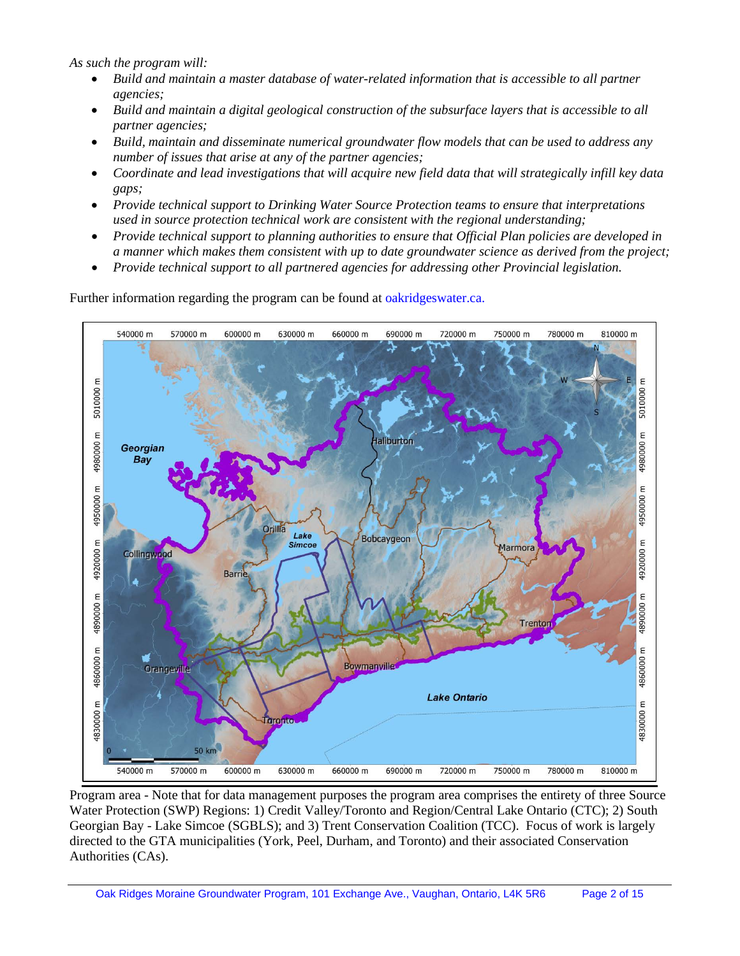*As such the program will:* 

- *Build and maintain a master database of water-related information that is accessible to all partner agencies;*
- *Build and maintain a digital geological construction of the subsurface layers that is accessible to all partner agencies;*
- Build, maintain and disseminate numerical groundwater flow models that can be used to address any *number of issues that arise at any of the partner agencies;*
- *Coordinate and lead investigations that will acquire new field data that will strategically infill key data gaps;*
- *Provide technical support to Drinking Water Source Protection teams to ensure that interpretations used in source protection technical work are consistent with the regional understanding;*
- *Provide technical support to planning authorities to ensure that Official Plan policies are developed in a manner which makes them consistent with up to date groundwater science as derived from the project;*
- *Provide technical support to all partnered agencies for addressing other Provincial legislation.*

Further information regarding the program can be found at oakridgeswater.ca.



Program area - Note that for data management purposes the program area comprises the entirety of three Source Water Protection (SWP) Regions: 1) Credit Valley/Toronto and Region/Central Lake Ontario (CTC); 2) South Georgian Bay - Lake Simcoe (SGBLS); and 3) Trent Conservation Coalition (TCC). Focus of work is largely directed to the GTA municipalities (York, Peel, Durham, and Toronto) and their associated Conservation Authorities (CAs).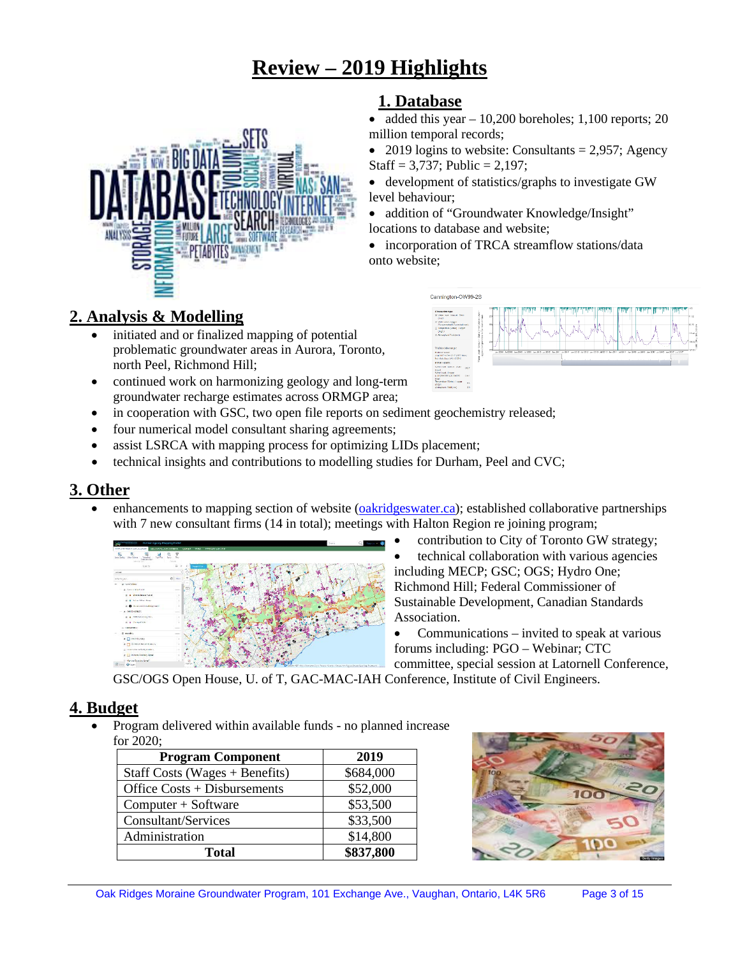# **Review – 2019 Highlights**



# **2. Analysis & Modelling**

- initiated and or finalized mapping of potential problematic groundwater areas in Aurora, Toronto, north Peel, Richmond Hill;
- continued work on harmonizing geology and long-term groundwater recharge estimates across ORMGP area;
- in cooperation with GSC, two open file reports on sediment geochemistry released;
- four numerical model consultant sharing agreements;
- assist LSRCA with mapping process for optimizing LIDs placement;
- technical insights and contributions to modelling studies for Durham, Peel and CVC;

# **3. Other**

enhancements to mapping section of website [\(oakridgeswater.ca\)](http://www.oakridgeswater.ca/); established collaborative partnerships with 7 new consultant firms (14 in total); meetings with Halton Region re joining program;



- contribution to City of Toronto GW strategy; • technical collaboration with various agencies including MECP; GSC; OGS; Hydro One; Richmond Hill; Federal Commissioner of Sustainable Development, Canadian Standards Association.
- Communications invited to speak at various forums including: PGO – Webinar; CTC

committee, special session at Latornell Conference,

GSC/OGS Open House, U. of T, GAC-MAC-IAH Conference, Institute of Civil Engineers.

# **4. Budget**

• Program delivered within available funds - no planned increase for 2020;

| <b>Program Component</b>         | 2019      |
|----------------------------------|-----------|
| Staff Costs (Wages $+$ Benefits) | \$684,000 |
| Office $Costs + Disbursements$   | \$52,000  |
| $Computer + Software$            | \$53,500  |
| Consultant/Services              | \$33,500  |
| Administration                   | \$14,800  |
| <b>Total</b>                     | \$837,800 |



# **1. Database**

- added this year  $-10,200$  boreholes; 1,100 reports; 20 million temporal records;
- 2019 logins to website: Consultants = 2,957; Agency Staff =  $3,737$ ; Public =  $2,197$ ;
- development of statistics/graphs to investigate GW level behaviour;
- addition of "Groundwater Knowledge/Insight" locations to database and website;
- incorporation of TRCA streamflow stations/data onto website;

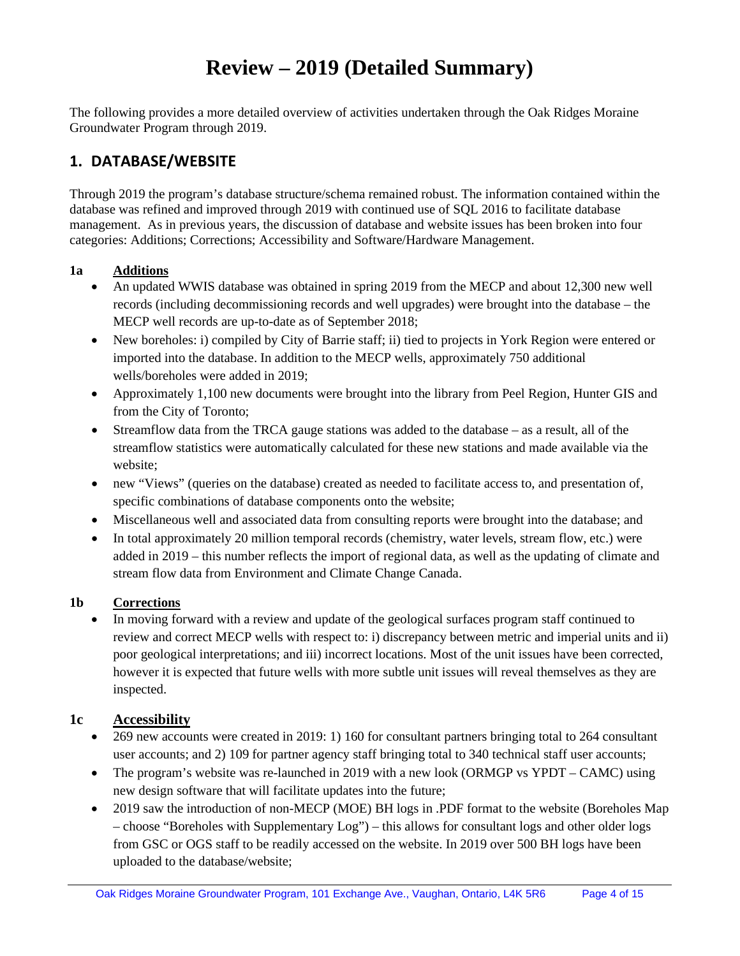# **Review – 2019 (Detailed Summary)**

The following provides a more detailed overview of activities undertaken through the Oak Ridges Moraine Groundwater Program through 2019.

# **1. DATABASE/WEBSITE**

Through 2019 the program's database structure/schema remained robust. The information contained within the database was refined and improved through 2019 with continued use of SQL 2016 to facilitate database management. As in previous years, the discussion of database and website issues has been broken into four categories: Additions; Corrections; Accessibility and Software/Hardware Management.

#### **1a Additions**

- An updated WWIS database was obtained in spring 2019 from the MECP and about 12,300 new well records (including decommissioning records and well upgrades) were brought into the database – the MECP well records are up-to-date as of September 2018;
- New boreholes: i) compiled by City of Barrie staff; ii) tied to projects in York Region were entered or imported into the database. In addition to the MECP wells, approximately 750 additional wells/boreholes were added in 2019;
- Approximately 1,100 new documents were brought into the library from Peel Region, Hunter GIS and from the City of Toronto;
- Streamflow data from the TRCA gauge stations was added to the database as a result, all of the streamflow statistics were automatically calculated for these new stations and made available via the website;
- new "Views" (queries on the database) created as needed to facilitate access to, and presentation of, specific combinations of database components onto the website;
- Miscellaneous well and associated data from consulting reports were brought into the database; and
- In total approximately 20 million temporal records (chemistry, water levels, stream flow, etc.) were added in 2019 – this number reflects the import of regional data, as well as the updating of climate and stream flow data from Environment and Climate Change Canada.

#### **1b Corrections**

• In moving forward with a review and update of the geological surfaces program staff continued to review and correct MECP wells with respect to: i) discrepancy between metric and imperial units and ii) poor geological interpretations; and iii) incorrect locations. Most of the unit issues have been corrected, however it is expected that future wells with more subtle unit issues will reveal themselves as they are inspected.

#### **1c Accessibility**

- 269 new accounts were created in 2019: 1) 160 for consultant partners bringing total to 264 consultant user accounts; and 2) 109 for partner agency staff bringing total to 340 technical staff user accounts;
- The program's website was re-launched in 2019 with a new look (ORMGP vs YPDT CAMC) using new design software that will facilitate updates into the future;
- 2019 saw the introduction of non-MECP (MOE) BH logs in .PDF format to the website (Boreholes Map – choose "Boreholes with Supplementary Log") – this allows for consultant logs and other older logs from GSC or OGS staff to be readily accessed on the website. In 2019 over 500 BH logs have been uploaded to the database/website;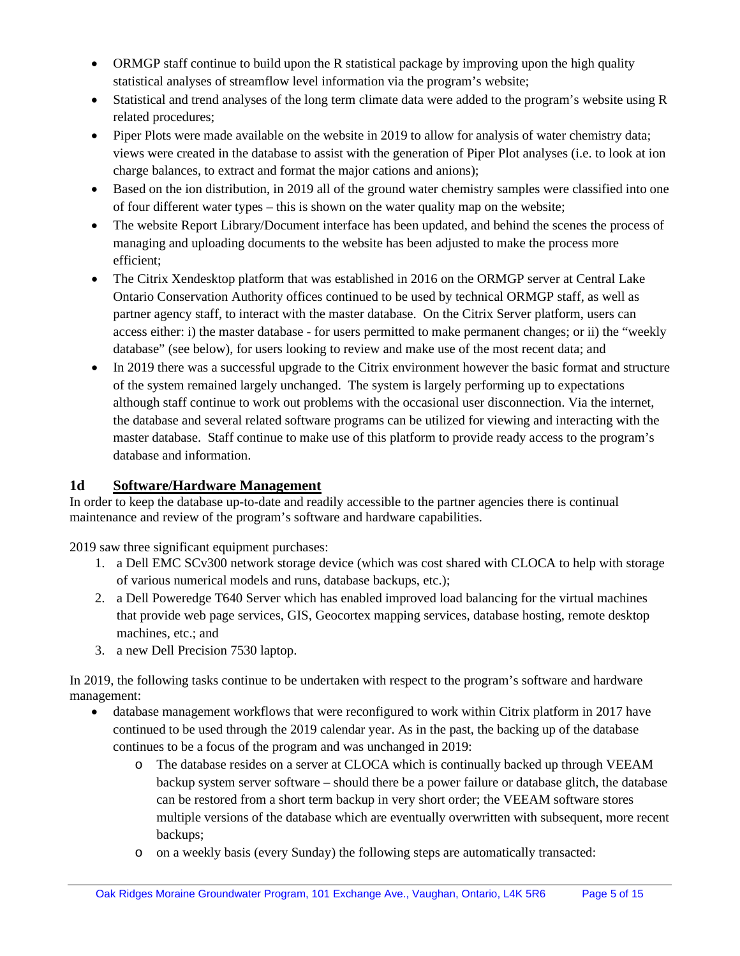- ORMGP staff continue to build upon the R statistical package by improving upon the high quality statistical analyses of streamflow level information via the program's website;
- Statistical and trend analyses of the long term climate data were added to the program's website using R related procedures;
- Piper Plots were made available on the website in 2019 to allow for analysis of water chemistry data; views were created in the database to assist with the generation of Piper Plot analyses (i.e. to look at ion charge balances, to extract and format the major cations and anions);
- Based on the ion distribution, in 2019 all of the ground water chemistry samples were classified into one of four different water types – this is shown on the water quality map on the website;
- The website Report Library/Document interface has been updated, and behind the scenes the process of managing and uploading documents to the website has been adjusted to make the process more efficient;
- The Citrix Xendesktop platform that was established in 2016 on the ORMGP server at Central Lake Ontario Conservation Authority offices continued to be used by technical ORMGP staff, as well as partner agency staff, to interact with the master database. On the Citrix Server platform, users can access either: i) the master database - for users permitted to make permanent changes; or ii) the "weekly database" (see below), for users looking to review and make use of the most recent data; and
- In 2019 there was a successful upgrade to the Citrix environment however the basic format and structure of the system remained largely unchanged. The system is largely performing up to expectations although staff continue to work out problems with the occasional user disconnection. Via the internet, the database and several related software programs can be utilized for viewing and interacting with the master database. Staff continue to make use of this platform to provide ready access to the program's database and information.

# **1d Software/Hardware Management**

In order to keep the database up-to-date and readily accessible to the partner agencies there is continual maintenance and review of the program's software and hardware capabilities.

2019 saw three significant equipment purchases:

- 1. a Dell EMC SCv300 network storage device (which was cost shared with CLOCA to help with storage of various numerical models and runs, database backups, etc.);
- 2. a Dell Poweredge T640 Server which has enabled improved load balancing for the virtual machines that provide web page services, GIS, Geocortex mapping services, database hosting, remote desktop machines, etc.; and
- 3. a new Dell Precision 7530 laptop.

In 2019, the following tasks continue to be undertaken with respect to the program's software and hardware management:

- database management workflows that were reconfigured to work within Citrix platform in 2017 have continued to be used through the 2019 calendar year. As in the past, the backing up of the database continues to be a focus of the program and was unchanged in 2019:
	- o The database resides on a server at CLOCA which is continually backed up through VEEAM backup system server software – should there be a power failure or database glitch, the database can be restored from a short term backup in very short order; the VEEAM software stores multiple versions of the database which are eventually overwritten with subsequent, more recent backups;
	- o on a weekly basis (every Sunday) the following steps are automatically transacted: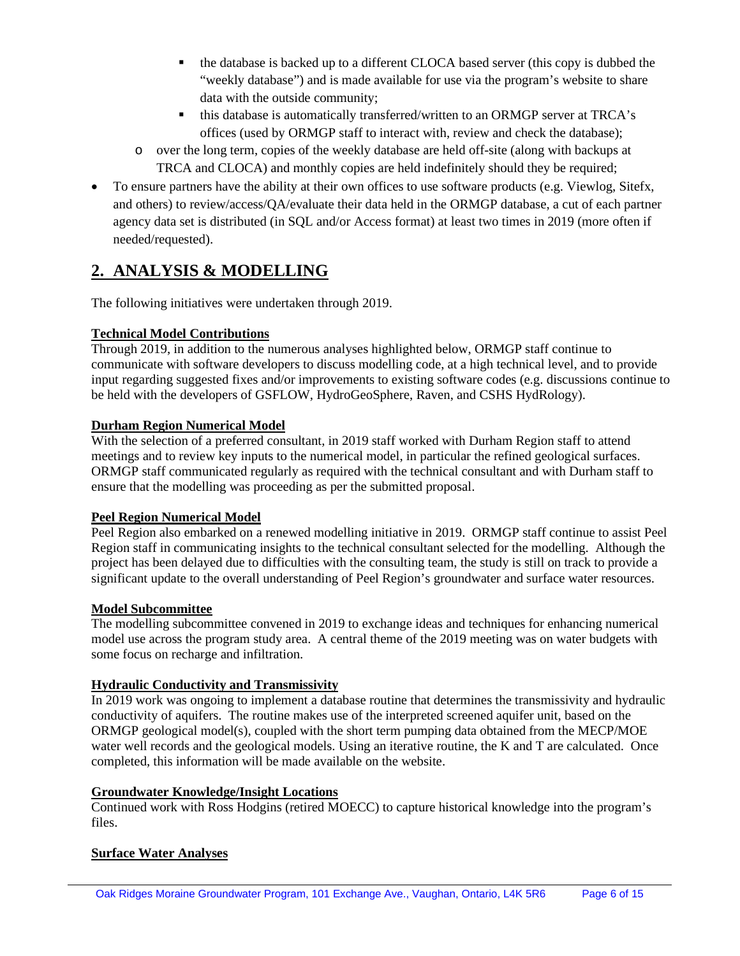- the database is backed up to a different CLOCA based server (this copy is dubbed the "weekly database") and is made available for use via the program's website to share data with the outside community;
- this database is automatically transferred/written to an ORMGP server at TRCA's offices (used by ORMGP staff to interact with, review and check the database);
- o over the long term, copies of the weekly database are held off-site (along with backups at TRCA and CLOCA) and monthly copies are held indefinitely should they be required;
- To ensure partners have the ability at their own offices to use software products (e.g. Viewlog, Sitefx, and others) to review/access/QA/evaluate their data held in the ORMGP database, a cut of each partner agency data set is distributed (in SQL and/or Access format) at least two times in 2019 (more often if needed/requested).

# **2. ANALYSIS & MODELLING**

The following initiatives were undertaken through 2019.

# **Technical Model Contributions**

Through 2019, in addition to the numerous analyses highlighted below, ORMGP staff continue to communicate with software developers to discuss modelling code, at a high technical level, and to provide input regarding suggested fixes and/or improvements to existing software codes (e.g. discussions continue to be held with the developers of GSFLOW, HydroGeoSphere, Raven, and CSHS HydRology).

### **Durham Region Numerical Model**

With the selection of a preferred consultant, in 2019 staff worked with Durham Region staff to attend meetings and to review key inputs to the numerical model, in particular the refined geological surfaces. ORMGP staff communicated regularly as required with the technical consultant and with Durham staff to ensure that the modelling was proceeding as per the submitted proposal.

# **Peel Region Numerical Model**

Peel Region also embarked on a renewed modelling initiative in 2019. ORMGP staff continue to assist Peel Region staff in communicating insights to the technical consultant selected for the modelling. Although the project has been delayed due to difficulties with the consulting team, the study is still on track to provide a significant update to the overall understanding of Peel Region's groundwater and surface water resources.

# **Model Subcommittee**

The modelling subcommittee convened in 2019 to exchange ideas and techniques for enhancing numerical model use across the program study area. A central theme of the 2019 meeting was on water budgets with some focus on recharge and infiltration.

#### **Hydraulic Conductivity and Transmissivity**

In 2019 work was ongoing to implement a database routine that determines the transmissivity and hydraulic conductivity of aquifers. The routine makes use of the interpreted screened aquifer unit, based on the ORMGP geological model(s), coupled with the short term pumping data obtained from the MECP/MOE water well records and the geological models. Using an iterative routine, the K and T are calculated. Once completed, this information will be made available on the website.

#### **Groundwater Knowledge/Insight Locations**

Continued work with Ross Hodgins (retired MOECC) to capture historical knowledge into the program's files.

# **Surface Water Analyses**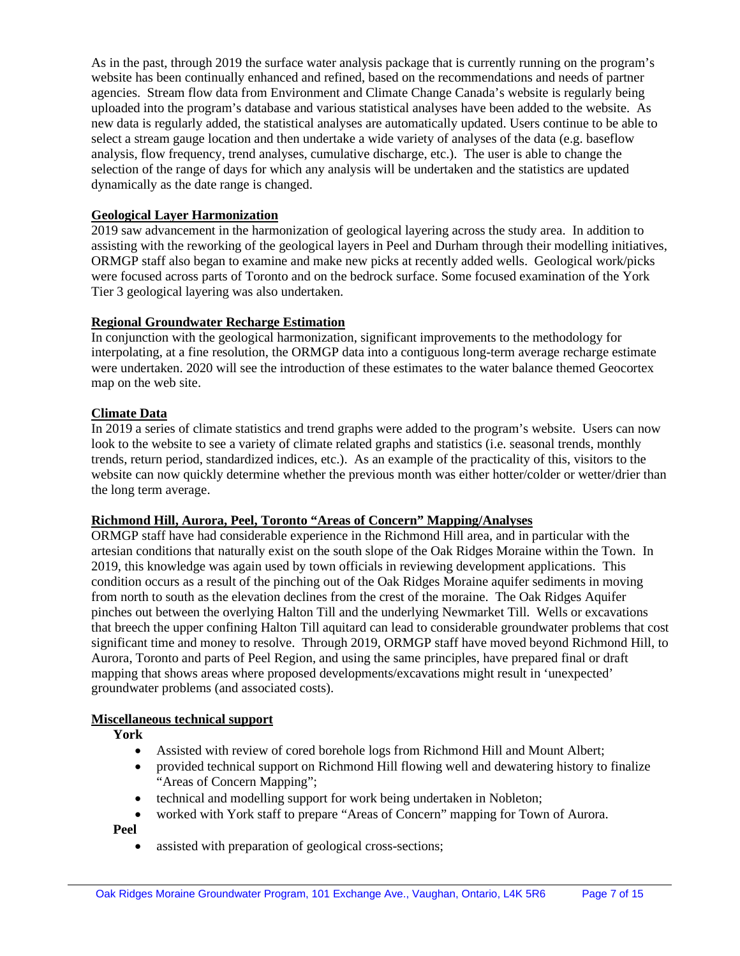As in the past, through 2019 the surface water analysis package that is currently running on the program's website has been continually enhanced and refined, based on the recommendations and needs of partner agencies. Stream flow data from Environment and Climate Change Canada's website is regularly being uploaded into the program's database and various statistical analyses have been added to the website. As new data is regularly added, the statistical analyses are automatically updated. Users continue to be able to select a stream gauge location and then undertake a wide variety of analyses of the data (e.g. baseflow analysis, flow frequency, trend analyses, cumulative discharge, etc.). The user is able to change the selection of the range of days for which any analysis will be undertaken and the statistics are updated dynamically as the date range is changed.

#### **Geological Layer Harmonization**

2019 saw advancement in the harmonization of geological layering across the study area. In addition to assisting with the reworking of the geological layers in Peel and Durham through their modelling initiatives, ORMGP staff also began to examine and make new picks at recently added wells. Geological work/picks were focused across parts of Toronto and on the bedrock surface. Some focused examination of the York Tier 3 geological layering was also undertaken.

#### **Regional Groundwater Recharge Estimation**

In conjunction with the geological harmonization, significant improvements to the methodology for interpolating, at a fine resolution, the ORMGP data into a contiguous long-term average recharge estimate were undertaken. 2020 will see the introduction of these estimates to the water balance themed Geocortex map on the web site.

#### **Climate Data**

In 2019 a series of climate statistics and trend graphs were added to the program's website. Users can now look to the website to see a variety of climate related graphs and statistics (i.e. seasonal trends, monthly trends, return period, standardized indices, etc.). As an example of the practicality of this, visitors to the website can now quickly determine whether the previous month was either hotter/colder or wetter/drier than the long term average.

#### **Richmond Hill, Aurora, Peel, Toronto "Areas of Concern" Mapping/Analyses**

ORMGP staff have had considerable experience in the Richmond Hill area, and in particular with the artesian conditions that naturally exist on the south slope of the Oak Ridges Moraine within the Town. In 2019, this knowledge was again used by town officials in reviewing development applications. This condition occurs as a result of the pinching out of the Oak Ridges Moraine aquifer sediments in moving from north to south as the elevation declines from the crest of the moraine. The Oak Ridges Aquifer pinches out between the overlying Halton Till and the underlying Newmarket Till. Wells or excavations that breech the upper confining Halton Till aquitard can lead to considerable groundwater problems that cost significant time and money to resolve. Through 2019, ORMGP staff have moved beyond Richmond Hill, to Aurora, Toronto and parts of Peel Region, and using the same principles, have prepared final or draft mapping that shows areas where proposed developments/excavations might result in 'unexpected' groundwater problems (and associated costs).

#### **Miscellaneous technical support**

**York**

- Assisted with review of cored borehole logs from Richmond Hill and Mount Albert;
- provided technical support on Richmond Hill flowing well and dewatering history to finalize "Areas of Concern Mapping";
- technical and modelling support for work being undertaken in Nobleton;
- worked with York staff to prepare "Areas of Concern" mapping for Town of Aurora.

**Peel**

assisted with preparation of geological cross-sections;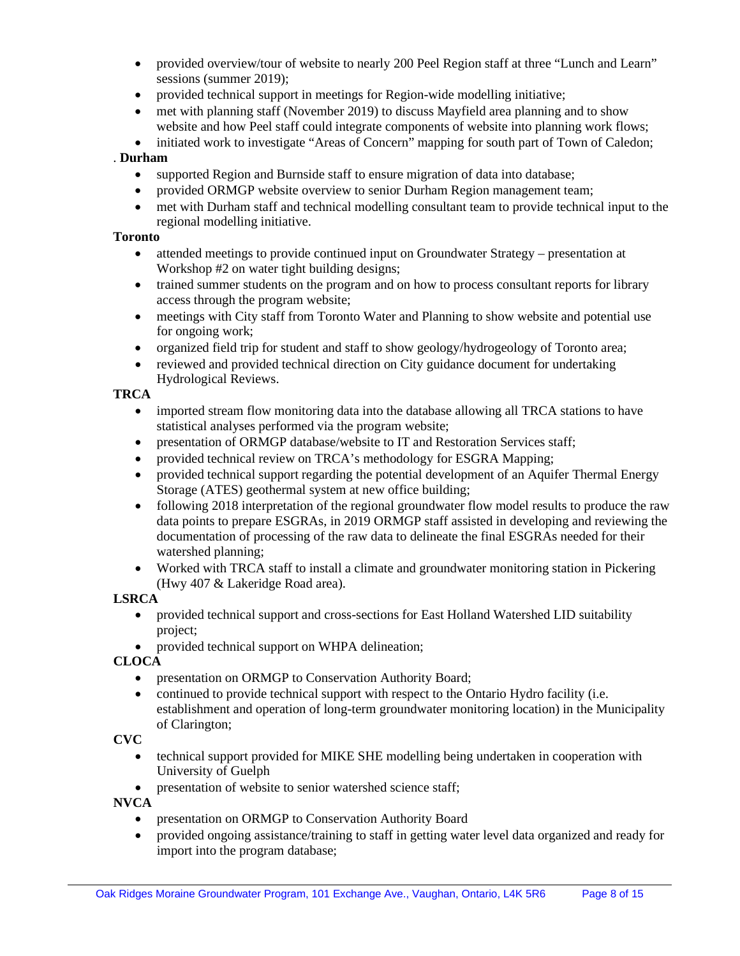- provided overview/tour of website to nearly 200 Peel Region staff at three "Lunch and Learn" sessions (summer 2019);
- provided technical support in meetings for Region-wide modelling initiative;
- met with planning staff (November 2019) to discuss Mayfield area planning and to show website and how Peel staff could integrate components of website into planning work flows;
- initiated work to investigate "Areas of Concern" mapping for south part of Town of Caledon;

#### . **Durham**

- supported Region and Burnside staff to ensure migration of data into database;
- provided ORMGP website overview to senior Durham Region management team;
- met with Durham staff and technical modelling consultant team to provide technical input to the regional modelling initiative.

#### **Toronto**

- attended meetings to provide continued input on Groundwater Strategy presentation at Workshop #2 on water tight building designs;
- trained summer students on the program and on how to process consultant reports for library access through the program website;
- meetings with City staff from Toronto Water and Planning to show website and potential use for ongoing work;
- organized field trip for student and staff to show geology/hydrogeology of Toronto area;
- reviewed and provided technical direction on City guidance document for undertaking Hydrological Reviews.

#### **TRCA**

- imported stream flow monitoring data into the database allowing all TRCA stations to have statistical analyses performed via the program website;
- presentation of ORMGP database/website to IT and Restoration Services staff;
- provided technical review on TRCA's methodology for ESGRA Mapping;
- provided technical support regarding the potential development of an Aquifer Thermal Energy Storage (ATES) geothermal system at new office building;
- following 2018 interpretation of the regional groundwater flow model results to produce the raw data points to prepare ESGRAs, in 2019 ORMGP staff assisted in developing and reviewing the documentation of processing of the raw data to delineate the final ESGRAs needed for their watershed planning;
- Worked with TRCA staff to install a climate and groundwater monitoring station in Pickering (Hwy 407 & Lakeridge Road area).

#### **LSRCA**

- provided technical support and cross-sections for East Holland Watershed LID suitability project;
- provided technical support on WHPA delineation;

#### **CLOCA**

- presentation on ORMGP to Conservation Authority Board;
- continued to provide technical support with respect to the Ontario Hydro facility (i.e. establishment and operation of long-term groundwater monitoring location) in the Municipality of Clarington;

#### **CVC**

- technical support provided for MIKE SHE modelling being undertaken in cooperation with University of Guelph
- presentation of website to senior watershed science staff;

**NVCA**

- presentation on ORMGP to Conservation Authority Board
- provided ongoing assistance/training to staff in getting water level data organized and ready for import into the program database;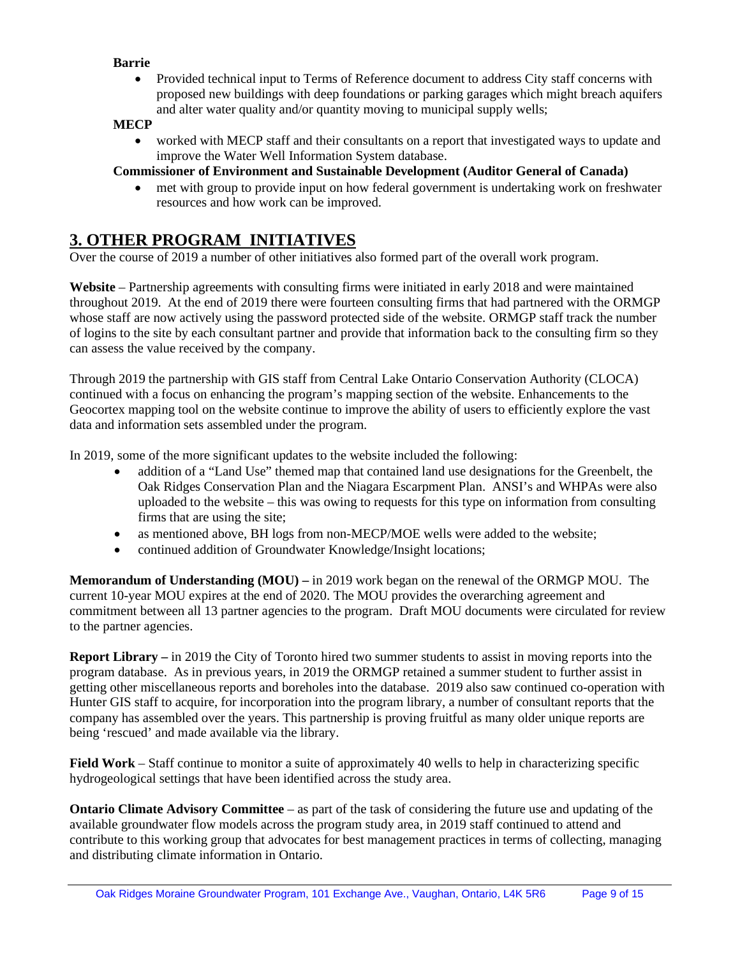#### **Barrie**

• Provided technical input to Terms of Reference document to address City staff concerns with proposed new buildings with deep foundations or parking garages which might breach aquifers and alter water quality and/or quantity moving to municipal supply wells;

#### **MECP**

• worked with MECP staff and their consultants on a report that investigated ways to update and improve the Water Well Information System database.

#### **Commissioner of Environment and Sustainable Development (Auditor General of Canada)**

• met with group to provide input on how federal government is undertaking work on freshwater resources and how work can be improved.

# **3. OTHER PROGRAM INITIATIVES**

Over the course of 2019 a number of other initiatives also formed part of the overall work program.

**Website** – Partnership agreements with consulting firms were initiated in early 2018 and were maintained throughout 2019. At the end of 2019 there were fourteen consulting firms that had partnered with the ORMGP whose staff are now actively using the password protected side of the website. ORMGP staff track the number of logins to the site by each consultant partner and provide that information back to the consulting firm so they can assess the value received by the company.

Through 2019 the partnership with GIS staff from Central Lake Ontario Conservation Authority (CLOCA) continued with a focus on enhancing the program's mapping section of the website. Enhancements to the Geocortex mapping tool on the website continue to improve the ability of users to efficiently explore the vast data and information sets assembled under the program.

In 2019, some of the more significant updates to the website included the following:

- addition of a "Land Use" themed map that contained land use designations for the Greenbelt, the Oak Ridges Conservation Plan and the Niagara Escarpment Plan. ANSI's and WHPAs were also uploaded to the website – this was owing to requests for this type on information from consulting firms that are using the site;
- as mentioned above, BH logs from non-MECP/MOE wells were added to the website;
- continued addition of Groundwater Knowledge/Insight locations;

**Memorandum of Understanding (MOU) –** in 2019 work began on the renewal of the ORMGP MOU. The current 10-year MOU expires at the end of 2020. The MOU provides the overarching agreement and commitment between all 13 partner agencies to the program. Draft MOU documents were circulated for review to the partner agencies.

**Report Library –** in 2019 the City of Toronto hired two summer students to assist in moving reports into the program database. As in previous years, in 2019 the ORMGP retained a summer student to further assist in getting other miscellaneous reports and boreholes into the database. 2019 also saw continued co-operation with Hunter GIS staff to acquire, for incorporation into the program library, a number of consultant reports that the company has assembled over the years. This partnership is proving fruitful as many older unique reports are being 'rescued' and made available via the library.

**Field Work** – Staff continue to monitor a suite of approximately 40 wells to help in characterizing specific hydrogeological settings that have been identified across the study area.

**Ontario Climate Advisory Committee** – as part of the task of considering the future use and updating of the available groundwater flow models across the program study area, in 2019 staff continued to attend and contribute to this working group that advocates for best management practices in terms of collecting, managing and distributing climate information in Ontario.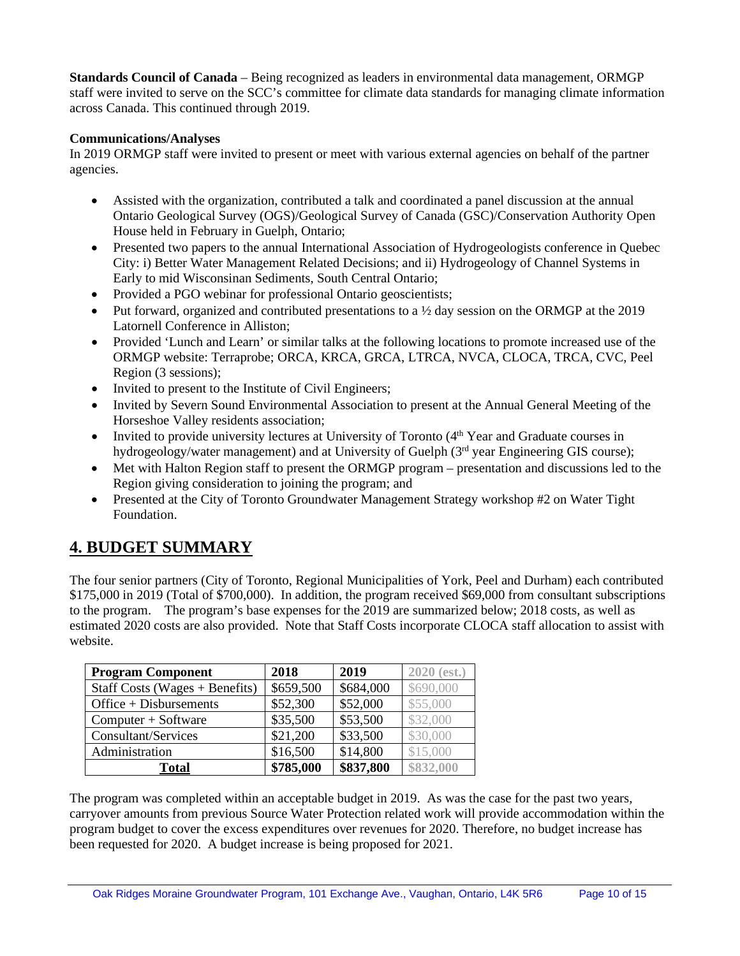**Standards Council of Canada** – Being recognized as leaders in environmental data management, ORMGP staff were invited to serve on the SCC's committee for climate data standards for managing climate information across Canada. This continued through 2019.

#### **Communications/Analyses**

In 2019 ORMGP staff were invited to present or meet with various external agencies on behalf of the partner agencies.

- Assisted with the organization, contributed a talk and coordinated a panel discussion at the annual Ontario Geological Survey (OGS)/Geological Survey of Canada (GSC)/Conservation Authority Open House held in February in Guelph, Ontario;
- Presented two papers to the annual International Association of Hydrogeologists conference in Quebec City: i) Better Water Management Related Decisions; and ii) Hydrogeology of Channel Systems in Early to mid Wisconsinan Sediments, South Central Ontario;
- Provided a PGO webinar for professional Ontario geoscientists;
- Put forward, organized and contributed presentations to a  $\frac{1}{2}$  day session on the ORMGP at the 2019 Latornell Conference in Alliston;
- Provided 'Lunch and Learn' or similar talks at the following locations to promote increased use of the ORMGP website: Terraprobe; ORCA, KRCA, GRCA, LTRCA, NVCA, CLOCA, TRCA, CVC, Peel Region (3 sessions);
- Invited to present to the Institute of Civil Engineers;
- Invited by Severn Sound Environmental Association to present at the Annual General Meeting of the Horseshoe Valley residents association;
- Invited to provide university lectures at University of Toronto (4<sup>th</sup> Year and Graduate courses in hydrogeology/water management) and at University of Guelph (3<sup>rd</sup> year Engineering GIS course);
- Met with Halton Region staff to present the ORMGP program presentation and discussions led to the Region giving consideration to joining the program; and
- Presented at the City of Toronto Groundwater Management Strategy workshop #2 on Water Tight Foundation.

# **4. BUDGET SUMMARY**

The four senior partners (City of Toronto, Regional Municipalities of York, Peel and Durham) each contributed \$175,000 in 2019 (Total of \$700,000). In addition, the program received \$69,000 from consultant subscriptions to the program. The program's base expenses for the 2019 are summarized below; 2018 costs, as well as estimated 2020 costs are also provided. Note that Staff Costs incorporate CLOCA staff allocation to assist with website.

| <b>Program Component</b>         | 2018      | 2019      | $2020$ (est.) |
|----------------------------------|-----------|-----------|---------------|
| Staff Costs (Wages $+$ Benefits) | \$659,500 | \$684,000 | \$690,000     |
| Office + Disbursements           | \$52,300  | \$52,000  | \$55,000      |
| $Computer + Software$            | \$35,500  | \$53,500  | \$32,000      |
| Consultant/Services              | \$21,200  | \$33,500  | \$30,000      |
| Administration                   | \$16,500  | \$14,800  | \$15,000      |
| Total                            | \$785,000 | \$837,800 | \$832,000     |

The program was completed within an acceptable budget in 2019. As was the case for the past two years, carryover amounts from previous Source Water Protection related work will provide accommodation within the program budget to cover the excess expenditures over revenues for 2020. Therefore, no budget increase has been requested for 2020. A budget increase is being proposed for 2021.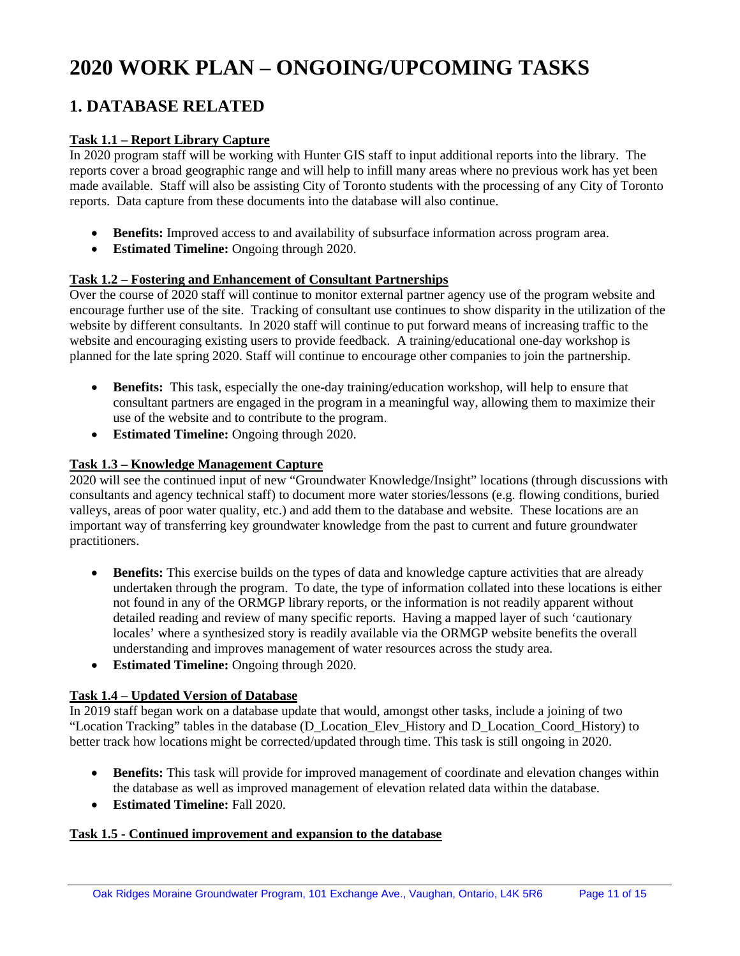# **2020 WORK PLAN – ONGOING/UPCOMING TASKS**

# **1. DATABASE RELATED**

#### **Task 1.1 – Report Library Capture**

In 2020 program staff will be working with Hunter GIS staff to input additional reports into the library. The reports cover a broad geographic range and will help to infill many areas where no previous work has yet been made available. Staff will also be assisting City of Toronto students with the processing of any City of Toronto reports. Data capture from these documents into the database will also continue.

- **Benefits:** Improved access to and availability of subsurface information across program area.
- **Estimated Timeline:** Ongoing through 2020.

#### **Task 1.2 – Fostering and Enhancement of Consultant Partnerships**

Over the course of 2020 staff will continue to monitor external partner agency use of the program website and encourage further use of the site. Tracking of consultant use continues to show disparity in the utilization of the website by different consultants. In 2020 staff will continue to put forward means of increasing traffic to the website and encouraging existing users to provide feedback. A training/educational one-day workshop is planned for the late spring 2020. Staff will continue to encourage other companies to join the partnership.

- **Benefits:** This task, especially the one-day training/education workshop, will help to ensure that consultant partners are engaged in the program in a meaningful way, allowing them to maximize their use of the website and to contribute to the program.
- **Estimated Timeline:** Ongoing through 2020.

#### **Task 1.3 – Knowledge Management Capture**

2020 will see the continued input of new "Groundwater Knowledge/Insight" locations (through discussions with consultants and agency technical staff) to document more water stories/lessons (e.g. flowing conditions, buried valleys, areas of poor water quality, etc.) and add them to the database and website. These locations are an important way of transferring key groundwater knowledge from the past to current and future groundwater practitioners.

- **Benefits:** This exercise builds on the types of data and knowledge capture activities that are already undertaken through the program. To date, the type of information collated into these locations is either not found in any of the ORMGP library reports, or the information is not readily apparent without detailed reading and review of many specific reports. Having a mapped layer of such 'cautionary locales' where a synthesized story is readily available via the ORMGP website benefits the overall understanding and improves management of water resources across the study area.
- **Estimated Timeline:** Ongoing through 2020.

#### **Task 1.4 – Updated Version of Database**

In 2019 staff began work on a database update that would, amongst other tasks, include a joining of two "Location Tracking" tables in the database (D\_Location\_Elev\_History and D\_Location\_Coord\_History) to better track how locations might be corrected/updated through time. This task is still ongoing in 2020.

- **Benefits:** This task will provide for improved management of coordinate and elevation changes within the database as well as improved management of elevation related data within the database.
- **Estimated Timeline:** Fall 2020.

#### **Task 1.5 - Continued improvement and expansion to the database**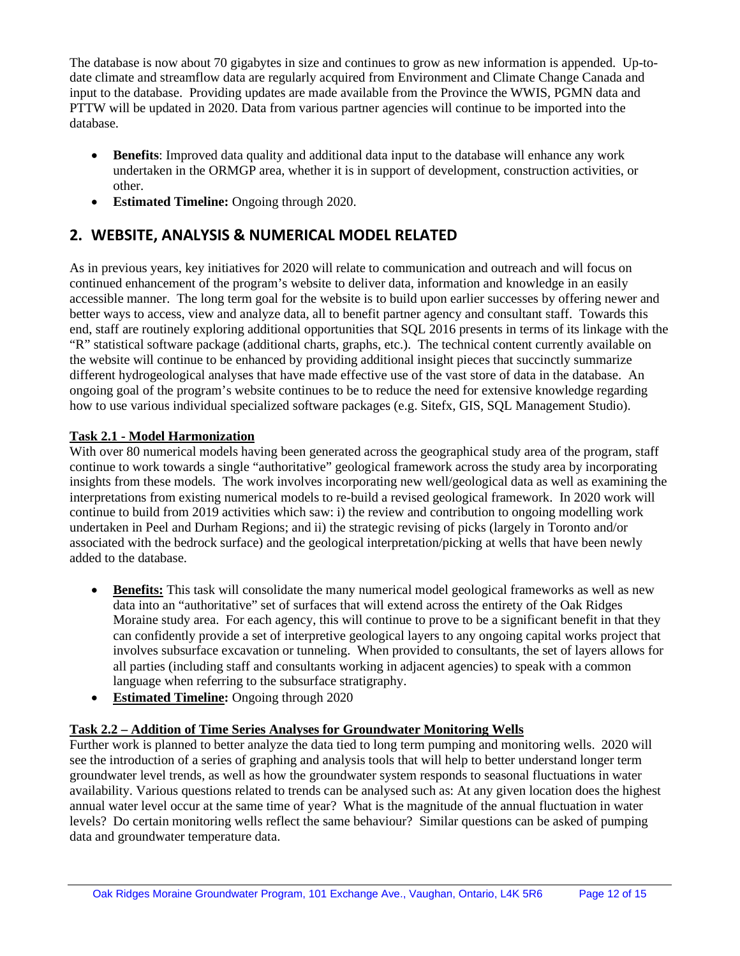The database is now about 70 gigabytes in size and continues to grow as new information is appended. Up-todate climate and streamflow data are regularly acquired from Environment and Climate Change Canada and input to the database. Providing updates are made available from the Province the WWIS, PGMN data and PTTW will be updated in 2020. Data from various partner agencies will continue to be imported into the database.

- **Benefits**: Improved data quality and additional data input to the database will enhance any work undertaken in the ORMGP area, whether it is in support of development, construction activities, or other.
- **Estimated Timeline:** Ongoing through 2020.

# **2. WEBSITE, ANALYSIS & NUMERICAL MODEL RELATED**

As in previous years, key initiatives for 2020 will relate to communication and outreach and will focus on continued enhancement of the program's website to deliver data, information and knowledge in an easily accessible manner. The long term goal for the website is to build upon earlier successes by offering newer and better ways to access, view and analyze data, all to benefit partner agency and consultant staff. Towards this end, staff are routinely exploring additional opportunities that SQL 2016 presents in terms of its linkage with the "R" statistical software package (additional charts, graphs, etc.). The technical content currently available on the website will continue to be enhanced by providing additional insight pieces that succinctly summarize different hydrogeological analyses that have made effective use of the vast store of data in the database. An ongoing goal of the program's website continues to be to reduce the need for extensive knowledge regarding how to use various individual specialized software packages (e.g. Sitefx, GIS, SQL Management Studio).

#### **Task 2.1 - Model Harmonization**

With over 80 numerical models having been generated across the geographical study area of the program, staff continue to work towards a single "authoritative" geological framework across the study area by incorporating insights from these models. The work involves incorporating new well/geological data as well as examining the interpretations from existing numerical models to re-build a revised geological framework. In 2020 work will continue to build from 2019 activities which saw: i) the review and contribution to ongoing modelling work undertaken in Peel and Durham Regions; and ii) the strategic revising of picks (largely in Toronto and/or associated with the bedrock surface) and the geological interpretation/picking at wells that have been newly added to the database.

- **Benefits:** This task will consolidate the many numerical model geological frameworks as well as new data into an "authoritative" set of surfaces that will extend across the entirety of the Oak Ridges Moraine study area. For each agency, this will continue to prove to be a significant benefit in that they can confidently provide a set of interpretive geological layers to any ongoing capital works project that involves subsurface excavation or tunneling. When provided to consultants, the set of layers allows for all parties (including staff and consultants working in adjacent agencies) to speak with a common language when referring to the subsurface stratigraphy.
- **Estimated Timeline:** Ongoing through 2020

# **Task 2.2 – Addition of Time Series Analyses for Groundwater Monitoring Wells**

Further work is planned to better analyze the data tied to long term pumping and monitoring wells. 2020 will see the introduction of a series of graphing and analysis tools that will help to better understand longer term groundwater level trends, as well as how the groundwater system responds to seasonal fluctuations in water availability. Various questions related to trends can be analysed such as: At any given location does the highest annual water level occur at the same time of year? What is the magnitude of the annual fluctuation in water levels? Do certain monitoring wells reflect the same behaviour? Similar questions can be asked of pumping data and groundwater temperature data.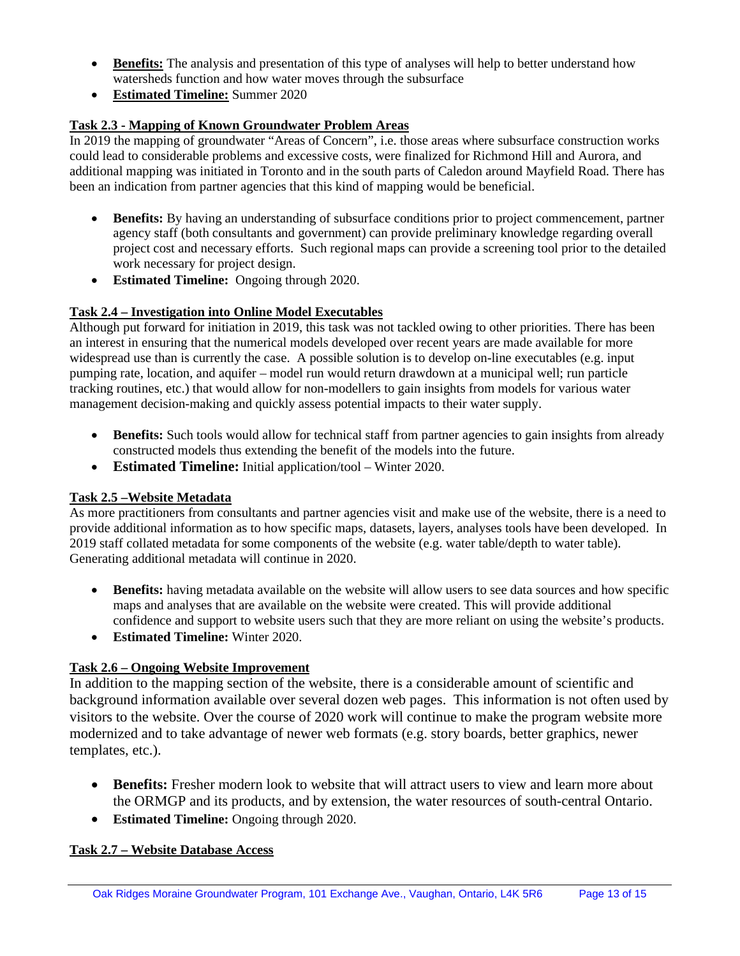- **Benefits:** The analysis and presentation of this type of analyses will help to better understand how watersheds function and how water moves through the subsurface
- **Estimated Timeline:** Summer 2020

# **Task 2.3 - Mapping of Known Groundwater Problem Areas**

In 2019 the mapping of groundwater "Areas of Concern", i.e. those areas where subsurface construction works could lead to considerable problems and excessive costs, were finalized for Richmond Hill and Aurora, and additional mapping was initiated in Toronto and in the south parts of Caledon around Mayfield Road. There has been an indication from partner agencies that this kind of mapping would be beneficial.

- **Benefits:** By having an understanding of subsurface conditions prior to project commencement, partner agency staff (both consultants and government) can provide preliminary knowledge regarding overall project cost and necessary efforts. Such regional maps can provide a screening tool prior to the detailed work necessary for project design.
- **Estimated Timeline:** Ongoing through 2020.

# **Task 2.4 – Investigation into Online Model Executables**

Although put forward for initiation in 2019, this task was not tackled owing to other priorities. There has been an interest in ensuring that the numerical models developed over recent years are made available for more widespread use than is currently the case. A possible solution is to develop on-line executables (e.g. input pumping rate, location, and aquifer – model run would return drawdown at a municipal well; run particle tracking routines, etc.) that would allow for non-modellers to gain insights from models for various water management decision-making and quickly assess potential impacts to their water supply.

- **Benefits:** Such tools would allow for technical staff from partner agencies to gain insights from already constructed models thus extending the benefit of the models into the future.
- **Estimated Timeline:** Initial application/tool Winter 2020.

# **Task 2.5 –Website Metadata**

As more practitioners from consultants and partner agencies visit and make use of the website, there is a need to provide additional information as to how specific maps, datasets, layers, analyses tools have been developed. In 2019 staff collated metadata for some components of the website (e.g. water table/depth to water table). Generating additional metadata will continue in 2020.

- **Benefits:** having metadata available on the website will allow users to see data sources and how specific maps and analyses that are available on the website were created. This will provide additional confidence and support to website users such that they are more reliant on using the website's products.
- **Estimated Timeline:** Winter 2020.

# **Task 2.6 – Ongoing Website Improvement**

In addition to the mapping section of the website, there is a considerable amount of scientific and background information available over several dozen web pages. This information is not often used by visitors to the website. Over the course of 2020 work will continue to make the program website more modernized and to take advantage of newer web formats (e.g. story boards, better graphics, newer templates, etc.).

- **Benefits:** Fresher modern look to website that will attract users to view and learn more about the ORMGP and its products, and by extension, the water resources of south-central Ontario.
- **Estimated Timeline:** Ongoing through 2020.

# **Task 2.7 – Website Database Access**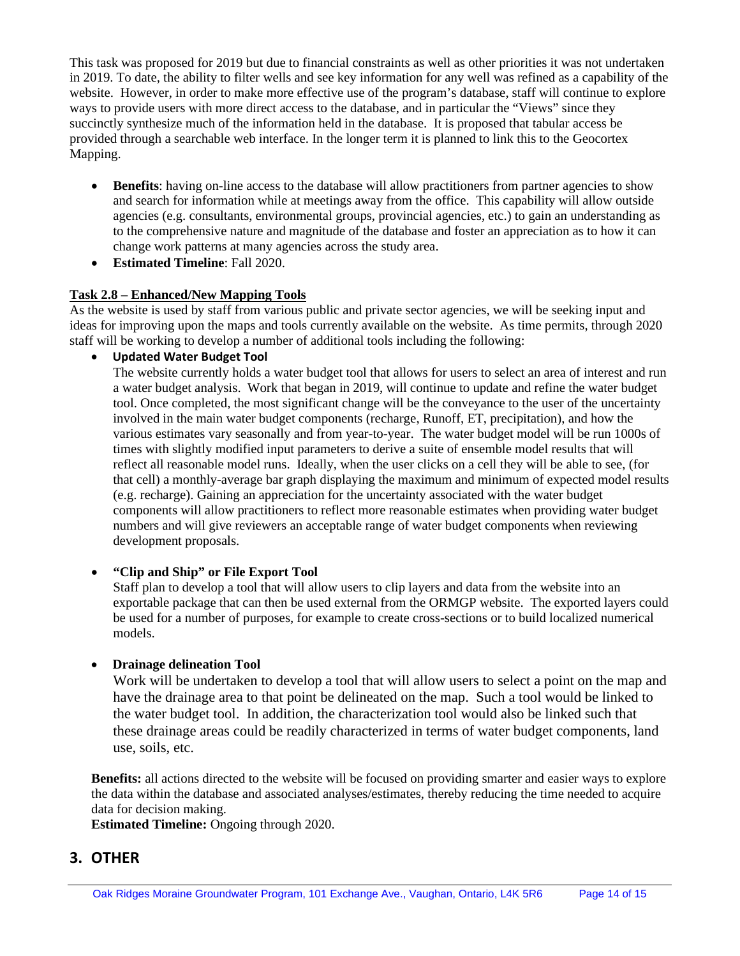This task was proposed for 2019 but due to financial constraints as well as other priorities it was not undertaken in 2019. To date, the ability to filter wells and see key information for any well was refined as a capability of the website. However, in order to make more effective use of the program's database, staff will continue to explore ways to provide users with more direct access to the database, and in particular the "Views" since they succinctly synthesize much of the information held in the database. It is proposed that tabular access be provided through a searchable web interface. In the longer term it is planned to link this to the Geocortex Mapping.

- **Benefits**: having on-line access to the database will allow practitioners from partner agencies to show and search for information while at meetings away from the office. This capability will allow outside agencies (e.g. consultants, environmental groups, provincial agencies, etc.) to gain an understanding as to the comprehensive nature and magnitude of the database and foster an appreciation as to how it can change work patterns at many agencies across the study area.
- **Estimated Timeline**: Fall 2020.

#### **Task 2.8 – Enhanced/New Mapping Tools**

As the website is used by staff from various public and private sector agencies, we will be seeking input and ideas for improving upon the maps and tools currently available on the website. As time permits, through 2020 staff will be working to develop a number of additional tools including the following:

• **Updated Water Budget Tool**

The website currently holds a water budget tool that allows for users to select an area of interest and run a water budget analysis. Work that began in 2019, will continue to update and refine the water budget tool. Once completed, the most significant change will be the conveyance to the user of the uncertainty involved in the main water budget components (recharge, Runoff, ET, precipitation), and how the various estimates vary seasonally and from year-to-year. The water budget model will be run 1000s of times with slightly modified input parameters to derive a suite of ensemble model results that will reflect all reasonable model runs. Ideally, when the user clicks on a cell they will be able to see, (for that cell) a monthly-average bar graph displaying the maximum and minimum of expected model results (e.g. recharge). Gaining an appreciation for the uncertainty associated with the water budget components will allow practitioners to reflect more reasonable estimates when providing water budget numbers and will give reviewers an acceptable range of water budget components when reviewing development proposals.

#### • **"Clip and Ship" or File Export Tool**

Staff plan to develop a tool that will allow users to clip layers and data from the website into an exportable package that can then be used external from the ORMGP website. The exported layers could be used for a number of purposes, for example to create cross-sections or to build localized numerical models.

#### • **Drainage delineation Tool**

Work will be undertaken to develop a tool that will allow users to select a point on the map and have the drainage area to that point be delineated on the map. Such a tool would be linked to the water budget tool. In addition, the characterization tool would also be linked such that these drainage areas could be readily characterized in terms of water budget components, land use, soils, etc.

**Benefits:** all actions directed to the website will be focused on providing smarter and easier ways to explore the data within the database and associated analyses/estimates, thereby reducing the time needed to acquire data for decision making.

**Estimated Timeline:** Ongoing through 2020.

# **3. OTHER**